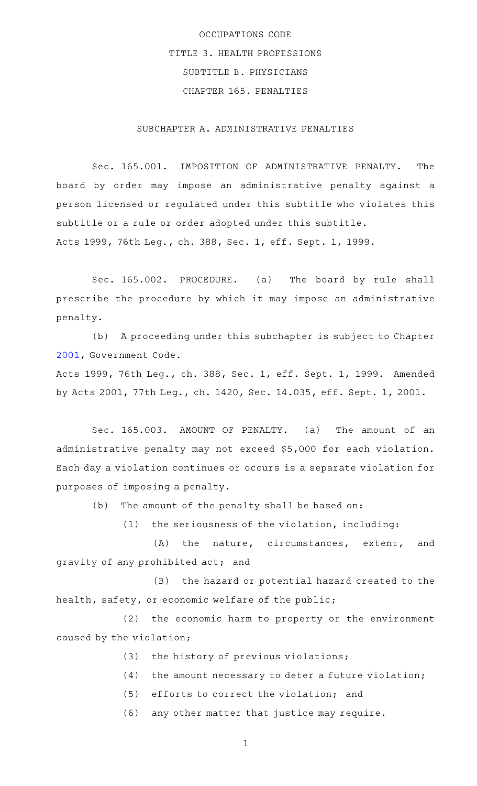## OCCUPATIONS CODE TITLE 3. HEALTH PROFESSIONS SUBTITLE B. PHYSICIANS CHAPTER 165. PENALTIES

SUBCHAPTER A. ADMINISTRATIVE PENALTIES

Sec. 165.001. IMPOSITION OF ADMINISTRATIVE PENALTY. The board by order may impose an administrative penalty against a person licensed or regulated under this subtitle who violates this subtitle or a rule or order adopted under this subtitle. Acts 1999, 76th Leg., ch. 388, Sec. 1, eff. Sept. 1, 1999.

Sec. 165.002. PROCEDURE. (a) The board by rule shall prescribe the procedure by which it may impose an administrative penalty.

(b) A proceeding under this subchapter is subject to Chapter [2001](http://www.statutes.legis.state.tx.us/GetStatute.aspx?Code=GV&Value=2001), Government Code.

Acts 1999, 76th Leg., ch. 388, Sec. 1, eff. Sept. 1, 1999. Amended by Acts 2001, 77th Leg., ch. 1420, Sec. 14.035, eff. Sept. 1, 2001.

Sec. 165.003. AMOUNT OF PENALTY. (a) The amount of an administrative penalty may not exceed \$5,000 for each violation. Each day a violation continues or occurs is a separate violation for purposes of imposing a penalty.

(b) The amount of the penalty shall be based on:

 $(1)$  the seriousness of the violation, including:

(A) the nature, circumstances, extent, and gravity of any prohibited act; and

(B) the hazard or potential hazard created to the health, safety, or economic welfare of the public;

(2) the economic harm to property or the environment caused by the violation;

- (3) the history of previous violations;
- $(4)$  the amount necessary to deter a future violation;
- $(5)$  efforts to correct the violation; and

(6) any other matter that justice may require.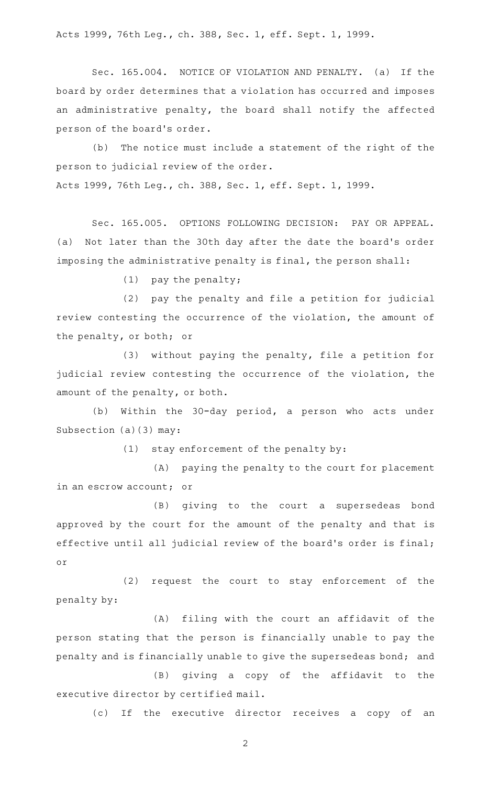Acts 1999, 76th Leg., ch. 388, Sec. 1, eff. Sept. 1, 1999.

Sec. 165.004. NOTICE OF VIOLATION AND PENALTY. (a) If the board by order determines that a violation has occurred and imposes an administrative penalty, the board shall notify the affected person of the board's order.

(b) The notice must include a statement of the right of the person to judicial review of the order. Acts 1999, 76th Leg., ch. 388, Sec. 1, eff. Sept. 1, 1999.

Sec. 165.005. OPTIONS FOLLOWING DECISION: PAY OR APPEAL. (a) Not later than the 30th day after the date the board's order imposing the administrative penalty is final, the person shall:

(1) pay the penalty;

(2) pay the penalty and file a petition for judicial review contesting the occurrence of the violation, the amount of the penalty, or both; or

 $(3)$  without paying the penalty, file a petition for judicial review contesting the occurrence of the violation, the amount of the penalty, or both.

(b) Within the 30-day period, a person who acts under Subsection (a)(3) may:

 $(1)$  stay enforcement of the penalty by:

(A) paying the penalty to the court for placement in an escrow account; or

(B) giving to the court a supersedeas bond approved by the court for the amount of the penalty and that is effective until all judicial review of the board's order is final; or

(2) request the court to stay enforcement of the penalty by:

(A) filing with the court an affidavit of the person stating that the person is financially unable to pay the penalty and is financially unable to give the supersedeas bond; and

(B) giving a copy of the affidavit to the executive director by certified mail.

(c) If the executive director receives a copy of an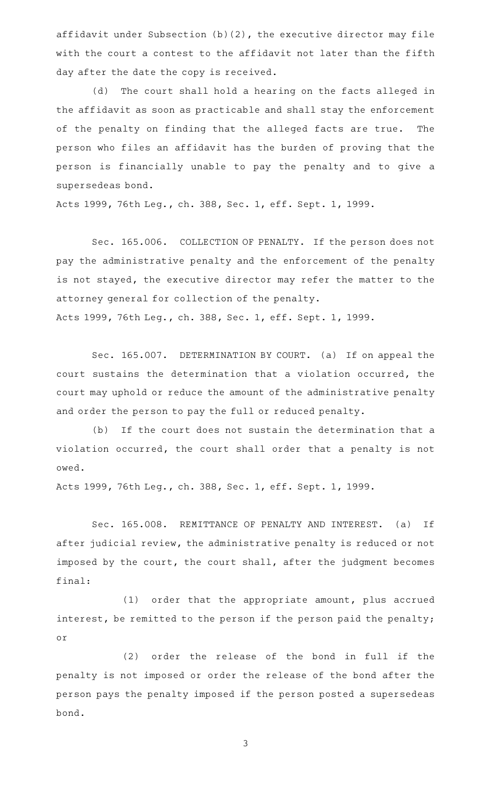affidavit under Subsection (b)(2), the executive director may file with the court a contest to the affidavit not later than the fifth day after the date the copy is received.

(d) The court shall hold a hearing on the facts alleged in the affidavit as soon as practicable and shall stay the enforcement of the penalty on finding that the alleged facts are true. The person who files an affidavit has the burden of proving that the person is financially unable to pay the penalty and to give a supersedeas bond.

Acts 1999, 76th Leg., ch. 388, Sec. 1, eff. Sept. 1, 1999.

Sec. 165.006. COLLECTION OF PENALTY. If the person does not pay the administrative penalty and the enforcement of the penalty is not stayed, the executive director may refer the matter to the attorney general for collection of the penalty. Acts 1999, 76th Leg., ch. 388, Sec. 1, eff. Sept. 1, 1999.

Sec. 165.007. DETERMINATION BY COURT. (a) If on appeal the court sustains the determination that a violation occurred, the court may uphold or reduce the amount of the administrative penalty and order the person to pay the full or reduced penalty.

(b) If the court does not sustain the determination that a violation occurred, the court shall order that a penalty is not owed.

Acts 1999, 76th Leg., ch. 388, Sec. 1, eff. Sept. 1, 1999.

Sec. 165.008. REMITTANCE OF PENALTY AND INTEREST. (a) If after judicial review, the administrative penalty is reduced or not imposed by the court, the court shall, after the judgment becomes final:

(1) order that the appropriate amount, plus accrued interest, be remitted to the person if the person paid the penalty; or

(2) order the release of the bond in full if the penalty is not imposed or order the release of the bond after the person pays the penalty imposed if the person posted a supersedeas bond.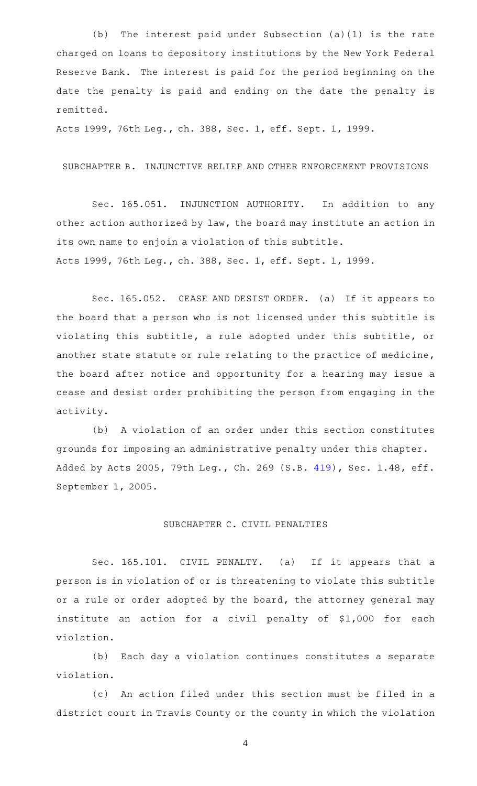(b) The interest paid under Subsection (a)(1) is the rate charged on loans to depository institutions by the New York Federal Reserve Bank. The interest is paid for the period beginning on the date the penalty is paid and ending on the date the penalty is remitted.

Acts 1999, 76th Leg., ch. 388, Sec. 1, eff. Sept. 1, 1999.

SUBCHAPTER B. INJUNCTIVE RELIEF AND OTHER ENFORCEMENT PROVISIONS

Sec. 165.051. INJUNCTION AUTHORITY. In addition to any other action authorized by law, the board may institute an action in its own name to enjoin a violation of this subtitle. Acts 1999, 76th Leg., ch. 388, Sec. 1, eff. Sept. 1, 1999.

Sec. 165.052. CEASE AND DESIST ORDER. (a) If it appears to the board that a person who is not licensed under this subtitle is violating this subtitle, a rule adopted under this subtitle, or another state statute or rule relating to the practice of medicine, the board after notice and opportunity for a hearing may issue a cease and desist order prohibiting the person from engaging in the activity.

(b) A violation of an order under this section constitutes grounds for imposing an administrative penalty under this chapter. Added by Acts 2005, 79th Leg., Ch. 269 (S.B. [419](http://www.legis.state.tx.us/tlodocs/79R/billtext/html/SB00419F.HTM)), Sec. 1.48, eff. September 1, 2005.

## SUBCHAPTER C. CIVIL PENALTIES

Sec. 165.101. CIVIL PENALTY. (a) If it appears that a person is in violation of or is threatening to violate this subtitle or a rule or order adopted by the board, the attorney general may institute an action for a civil penalty of \$1,000 for each violation.

(b) Each day a violation continues constitutes a separate violation.

(c) An action filed under this section must be filed in a district court in Travis County or the county in which the violation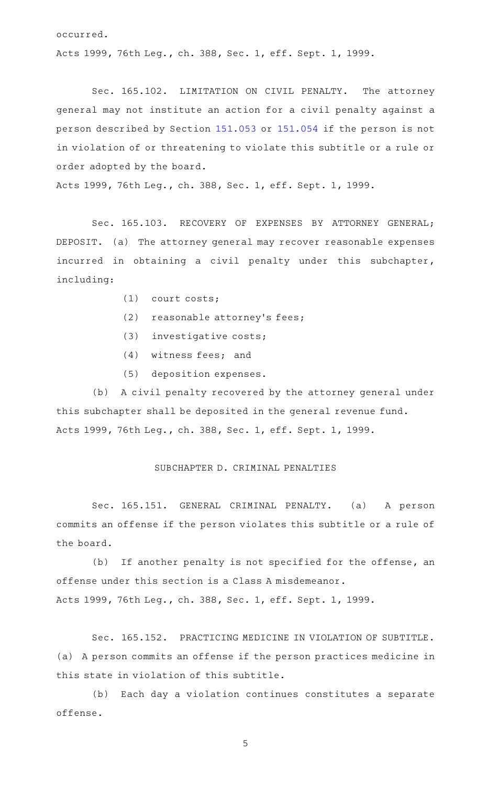occurred.

Acts 1999, 76th Leg., ch. 388, Sec. 1, eff. Sept. 1, 1999.

Sec. 165.102. LIMITATION ON CIVIL PENALTY. The attorney general may not institute an action for a civil penalty against a person described by Section [151.053](http://www.statutes.legis.state.tx.us/GetStatute.aspx?Code=OC&Value=151.053) or [151.054](http://www.statutes.legis.state.tx.us/GetStatute.aspx?Code=OC&Value=151.054) if the person is not in violation of or threatening to violate this subtitle or a rule or order adopted by the board.

Acts 1999, 76th Leg., ch. 388, Sec. 1, eff. Sept. 1, 1999.

Sec. 165.103. RECOVERY OF EXPENSES BY ATTORNEY GENERAL; DEPOSIT. (a) The attorney general may recover reasonable expenses incurred in obtaining a civil penalty under this subchapter, including:

- $(1)$  court costs;
- $(2)$  reasonable attorney's fees;
- (3) investigative costs;
- $(4)$  witness fees; and
- (5) deposition expenses.

(b) A civil penalty recovered by the attorney general under this subchapter shall be deposited in the general revenue fund. Acts 1999, 76th Leg., ch. 388, Sec. 1, eff. Sept. 1, 1999.

## SUBCHAPTER D. CRIMINAL PENALTIES

Sec. 165.151. GENERAL CRIMINAL PENALTY. (a) A person commits an offense if the person violates this subtitle or a rule of the board.

(b) If another penalty is not specified for the offense, an offense under this section is a Class A misdemeanor. Acts 1999, 76th Leg., ch. 388, Sec. 1, eff. Sept. 1, 1999.

Sec. 165.152. PRACTICING MEDICINE IN VIOLATION OF SUBTITLE. (a) A person commits an offense if the person practices medicine in this state in violation of this subtitle.

(b) Each day a violation continues constitutes a separate offense.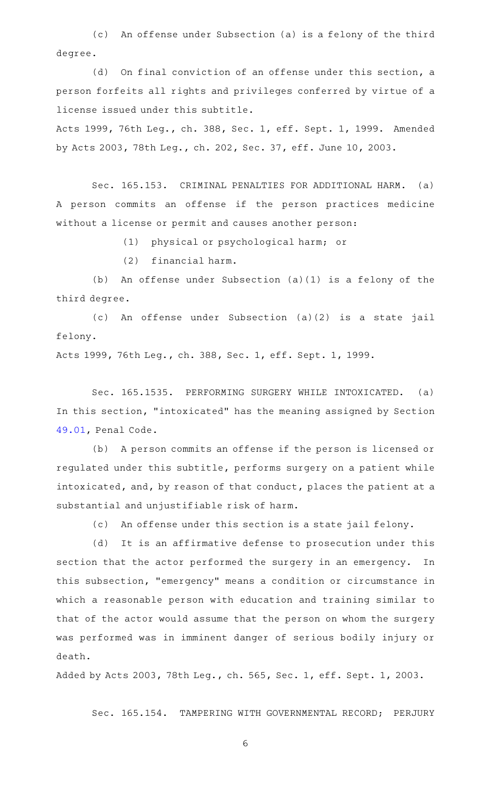(c) An offense under Subsection (a) is a felony of the third degree.

(d) On final conviction of an offense under this section, a person forfeits all rights and privileges conferred by virtue of a license issued under this subtitle.

Acts 1999, 76th Leg., ch. 388, Sec. 1, eff. Sept. 1, 1999. Amended by Acts 2003, 78th Leg., ch. 202, Sec. 37, eff. June 10, 2003.

Sec. 165.153. CRIMINAL PENALTIES FOR ADDITIONAL HARM. (a) A person commits an offense if the person practices medicine without a license or permit and causes another person:

(1) physical or psychological harm; or

(2) financial harm.

(b) An offense under Subsection  $(a)(1)$  is a felony of the third degree.

(c) An offense under Subsection (a)(2) is a state jail felony.

Acts 1999, 76th Leg., ch. 388, Sec. 1, eff. Sept. 1, 1999.

Sec. 165.1535. PERFORMING SURGERY WHILE INTOXICATED. (a) In this section, "intoxicated" has the meaning assigned by Section [49.01,](http://www.statutes.legis.state.tx.us/GetStatute.aspx?Code=PE&Value=49.01) Penal Code.

(b) A person commits an offense if the person is licensed or regulated under this subtitle, performs surgery on a patient while intoxicated, and, by reason of that conduct, places the patient at a substantial and unjustifiable risk of harm.

(c) An offense under this section is a state jail felony.

(d) It is an affirmative defense to prosecution under this section that the actor performed the surgery in an emergency. In this subsection, "emergency" means a condition or circumstance in which a reasonable person with education and training similar to that of the actor would assume that the person on whom the surgery was performed was in imminent danger of serious bodily injury or death.

Added by Acts 2003, 78th Leg., ch. 565, Sec. 1, eff. Sept. 1, 2003.

Sec. 165.154. TAMPERING WITH GOVERNMENTAL RECORD; PERJURY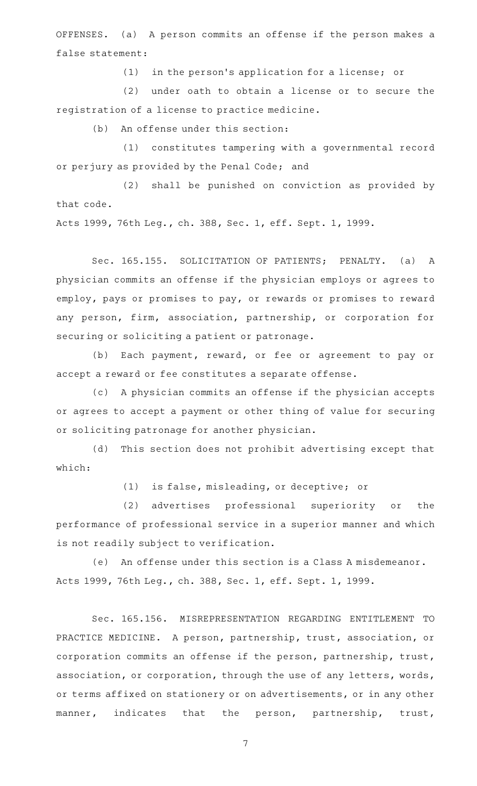OFFENSES. (a) A person commits an offense if the person makes a false statement:

(1) in the person's application for a license; or

 $(2)$  under oath to obtain a license or to secure the registration of a license to practice medicine.

(b) An offense under this section:

(1) constitutes tampering with a governmental record or perjury as provided by the Penal Code; and

(2) shall be punished on conviction as provided by that code.

Acts 1999, 76th Leg., ch. 388, Sec. 1, eff. Sept. 1, 1999.

Sec. 165.155. SOLICITATION OF PATIENTS; PENALTY. (a) A physician commits an offense if the physician employs or agrees to employ, pays or promises to pay, or rewards or promises to reward any person, firm, association, partnership, or corporation for securing or soliciting a patient or patronage.

(b) Each payment, reward, or fee or agreement to pay or accept a reward or fee constitutes a separate offense.

(c) A physician commits an offense if the physician accepts or agrees to accept a payment or other thing of value for securing or soliciting patronage for another physician.

(d) This section does not prohibit advertising except that which:

(1) is false, misleading, or deceptive; or

(2) advertises professional superiority or the performance of professional service in a superior manner and which is not readily subject to verification.

(e) An offense under this section is a Class A misdemeanor. Acts 1999, 76th Leg., ch. 388, Sec. 1, eff. Sept. 1, 1999.

Sec. 165.156. MISREPRESENTATION REGARDING ENTITLEMENT TO PRACTICE MEDICINE. A person, partnership, trust, association, or corporation commits an offense if the person, partnership, trust, association, or corporation, through the use of any letters, words, or terms affixed on stationery or on advertisements, or in any other manner, indicates that the person, partnership, trust,